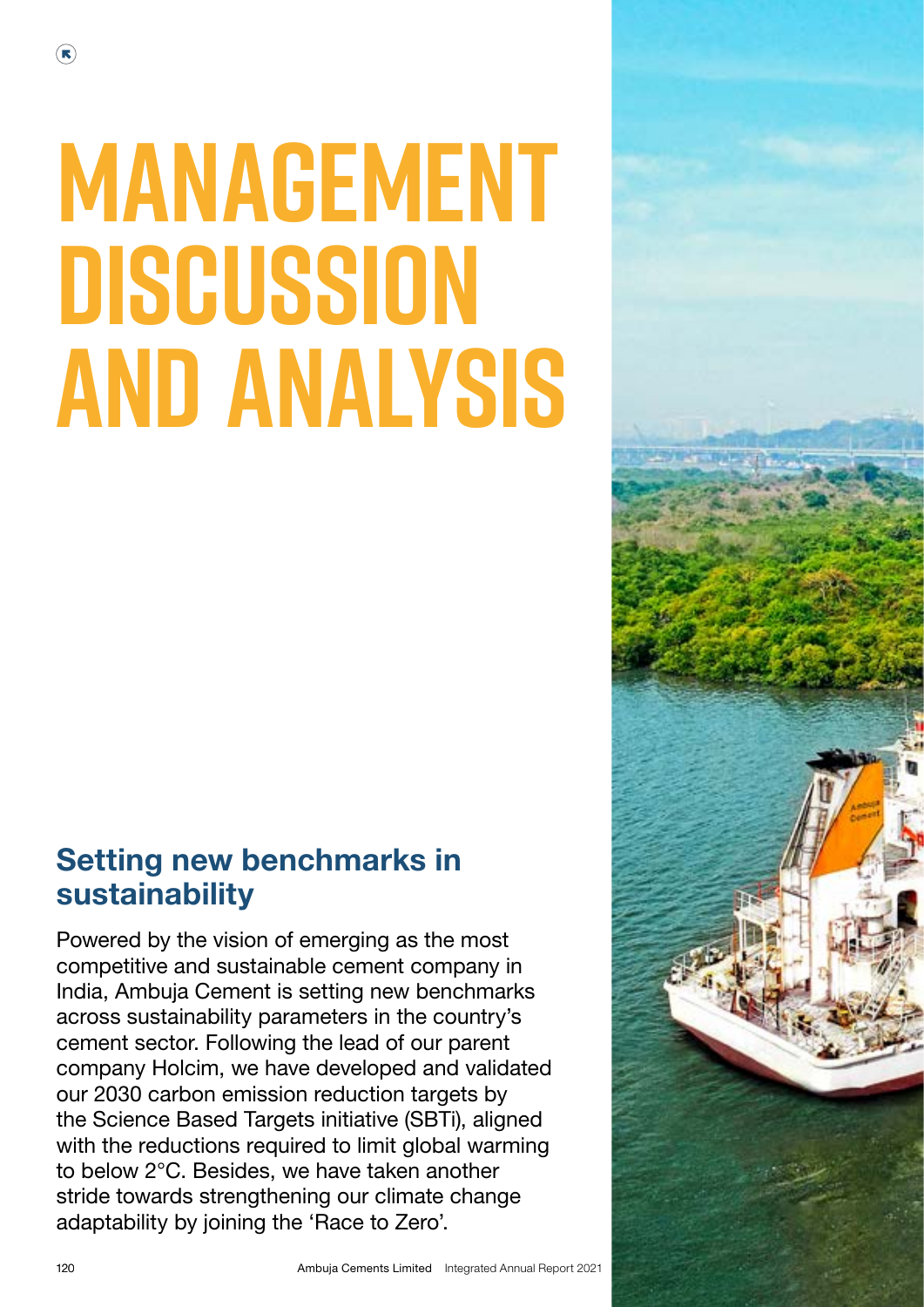# **MANAGEMENT discussion and analysis**

### Setting new benchmarks in sustainability

Powered by the vision of emerging as the most competitive and sustainable cement company in India, Ambuja Cement is setting new benchmarks across sustainability parameters in the country's cement sector. Following the lead of our parent company Holcim, we have developed and validated our 2030 carbon emission reduction targets by the Science Based Targets initiative (SBTi), aligned with the reductions required to limit global warming to below 2°C. Besides, we have taken another stride towards strengthening our climate change adaptability by joining the 'Race to Zero'.



<span id="page-0-0"></span> $(\mathbf{R})$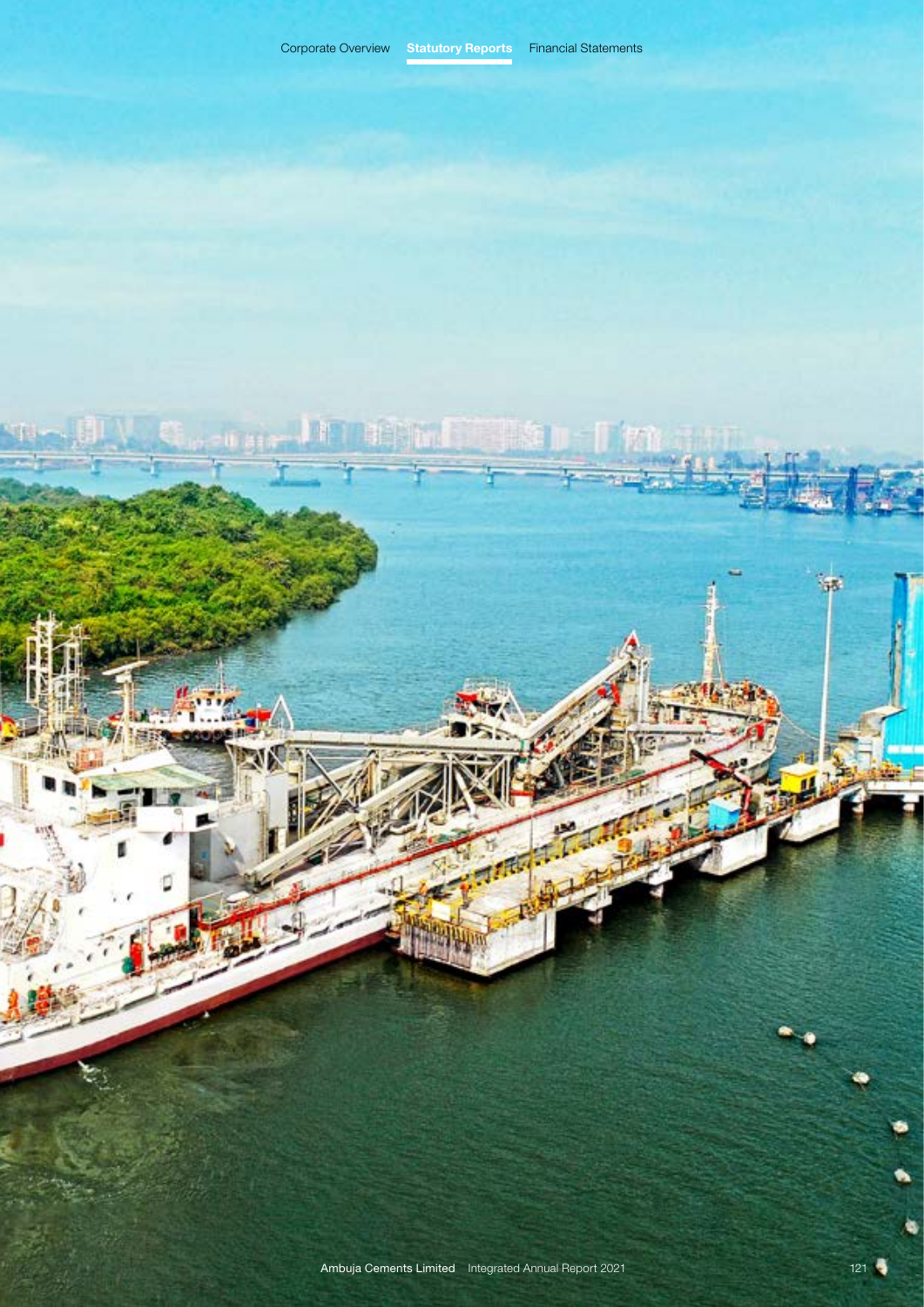

è

 $\frac{1}{2}$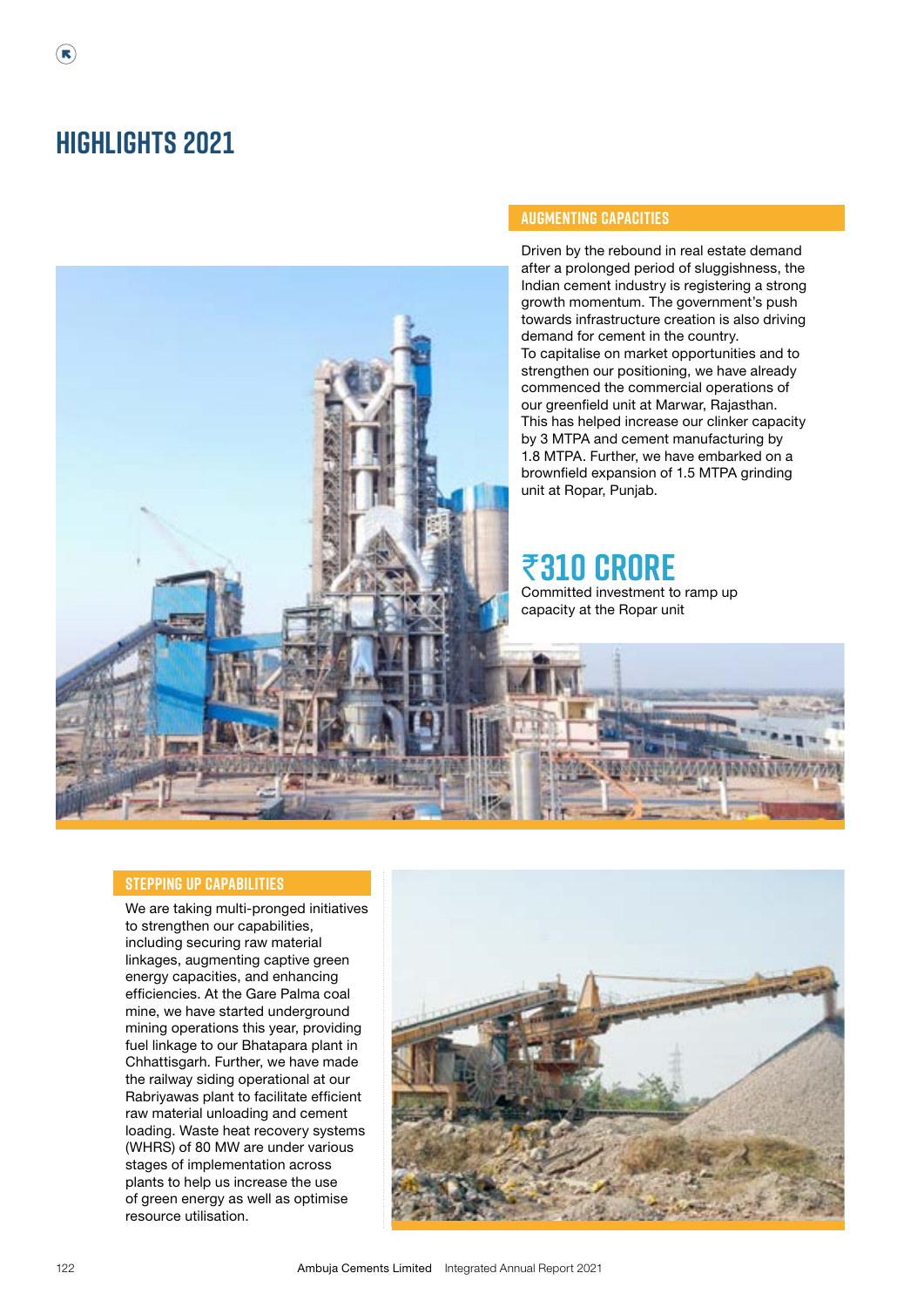### **Highlights 2021**

 $(\mathbf{R})$ 



#### **AUGMENTING CAPACITIES**

Driven by the rebound in real estate demand after a prolonged period of sluggishness, the Indian cement industry is registering a strong growth momentum. The government's push towards infrastructure creation is also driving demand for cement in the country. To capitalise on market opportunities and to strengthen our positioning, we have already commenced the commercial operations of our greenfield unit at Marwar, Rajasthan. This has helped increase our clinker capacity by 3 MTPA and cement manufacturing by 1.8 MTPA. Further, we have embarked on a brownfield expansion of 1.5 MTPA grinding unit at Ropar, Punjab.

`**310 crore**  Committed investment to ramp up capacity at the Ropar unit

#### **STEPPING UP CAPABILITIES**

We are taking multi-pronged initiatives to strengthen our capabilities, including securing raw material linkages, augmenting captive green energy capacities, and enhancing efficiencies. At the Gare Palma coal mine, we have started underground mining operations this year, providing fuel linkage to our Bhatapara plant in Chhattisgarh. Further, we have made the railway siding operational at our Rabriyawas plant to facilitate efficient raw material unloading and cement loading. Waste heat recovery systems (WHRS) of 80 MW are under various stages of implementation across plants to help us increase the use of green energy as well as optimise resource utilisation.

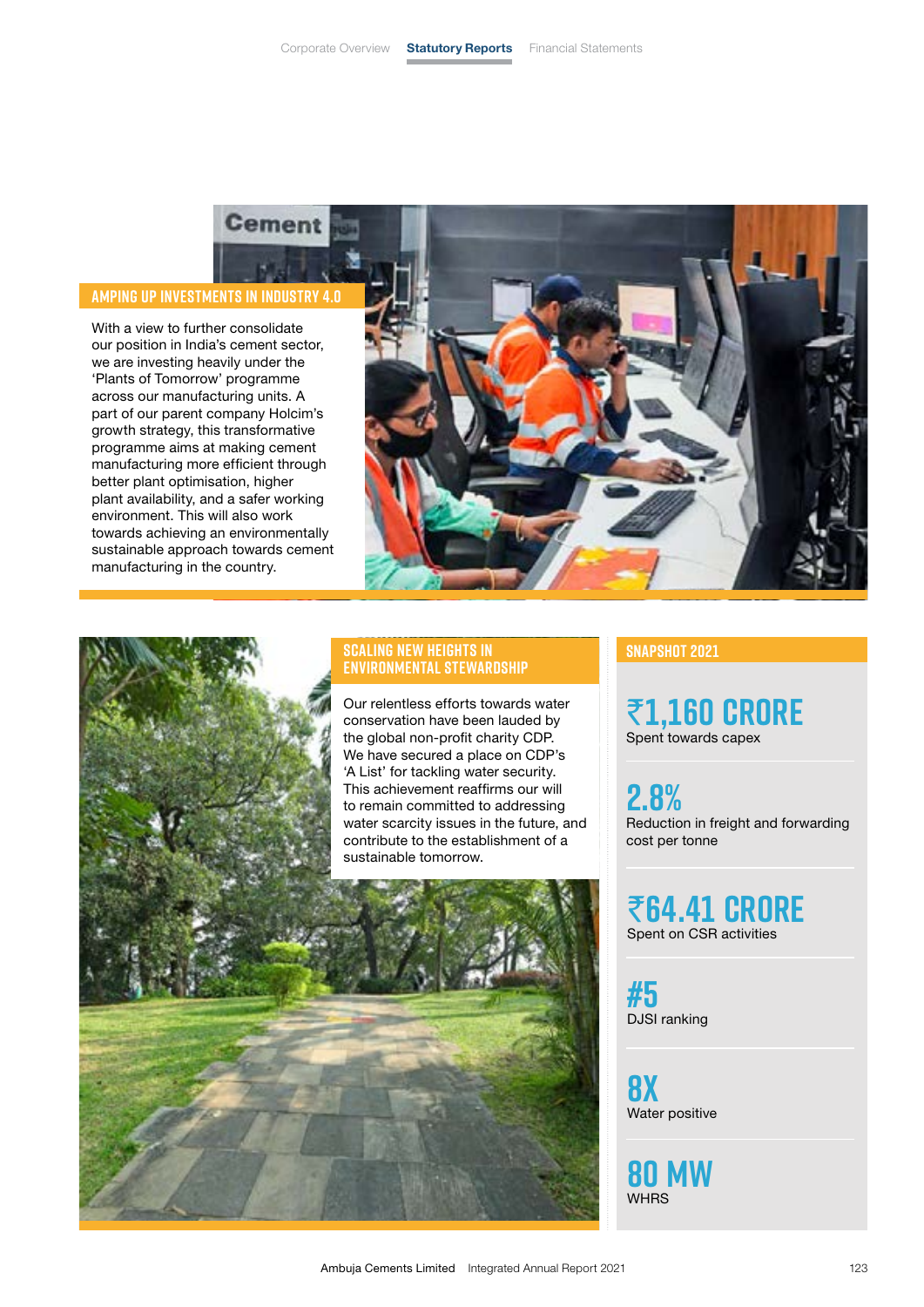Cemer

#### **AMPING UP INVESTMENTS IN INDUSTR**

With a view to further consolidate our position in India's cement sector, we are investing heavily under the 'Plants of Tomorrow' programme across our manufacturing units. A part of our parent company Holcim's growth strategy, this transformative programme aims at making cement manufacturing more efficient through better plant optimisation, higher plant availability, and a safer working environment. This will also work towards achieving an environmentally sustainable approach towards cement manufacturing in the country.





#### **Snapshot 2021**

`**1,160 crore**  Spent towards capex

**2.8%**  Reduction in freight and forwarding cost per tonne

`**64.41 crore**  Spent on CSR activities

**#5**  DJSI ranking

**8x**  Water positive

**80 MW WHRS**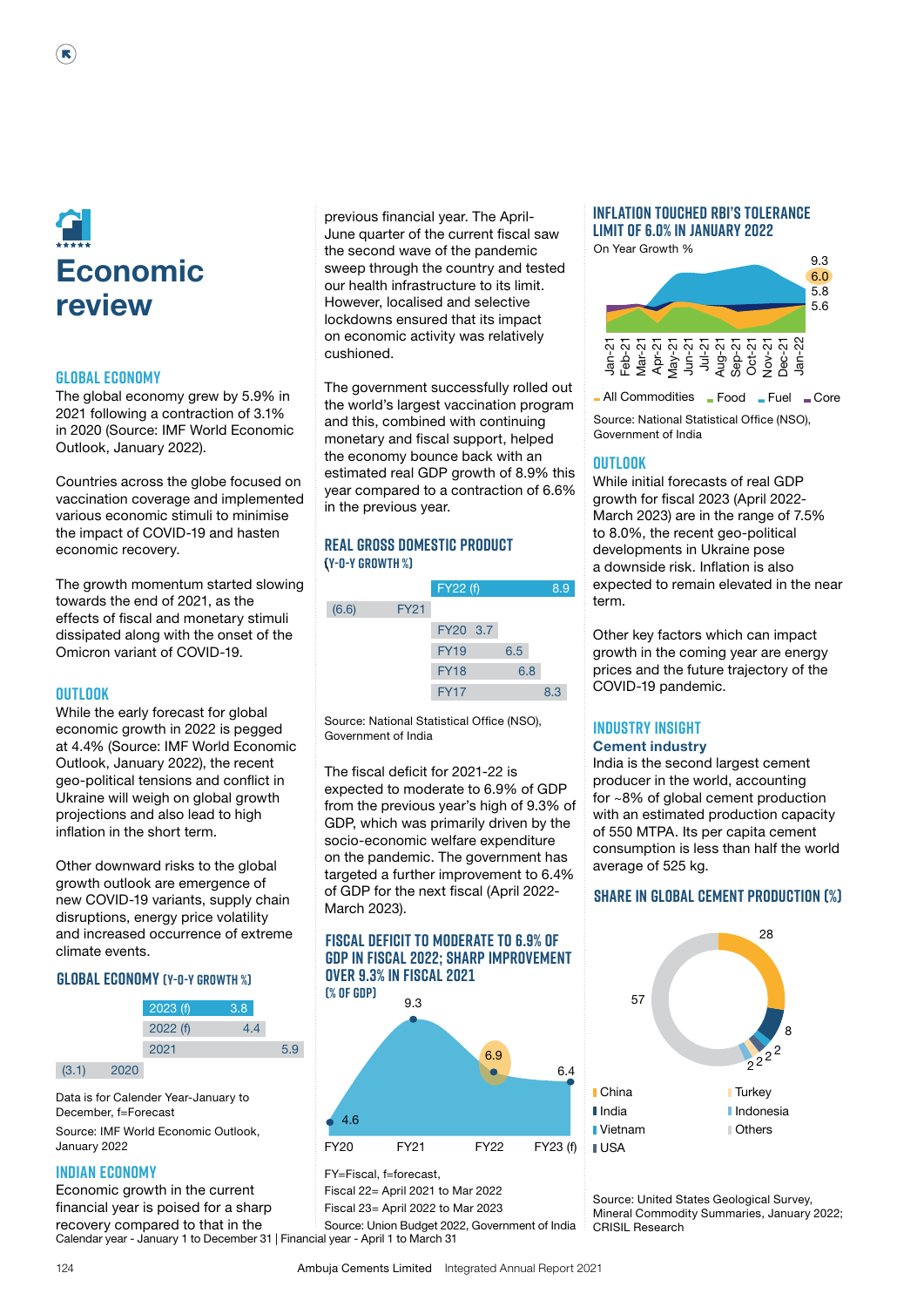# Economic review

#### **GLOBAL ECONOMY**

The global economy grew by 5.9% in 2021 following a contraction of 3.1% in 2020 (Source: IMF World Economic Outlook, January 2022).

Countries across the globe focused on vaccination coverage and implemented various economic stimuli to minimise the impact of COVID-19 and hasten economic recovery.

The growth momentum started slowing towards the end of 2021, as the effects of fiscal and monetary stimuli dissipated along with the onset of the Omicron variant of COVID-19.

#### **OUTLOOK**

While the early forecast for global economic growth in 2022 is pegged at 4.4% (Source: IMF World Economic Outlook, January 2022), the recent geo-political tensions and conflict in Ukraine will weigh on global growth projections and also lead to high inflation in the short term.

Other downward risks to the global growth outlook are emergence of new COVID-19 variants, supply chain disruptions, energy price volatility and increased occurrence of extreme climate events.

#### **global Economy (Y-o-y growth %)**



Data is for Calender Year-January to December, f=Forecast

Source: IMF World Economic Outlook, January 2022

#### **INDIAN ECONOMY**

Economic growth in the current financial year is poised for a sharp recovery compared to that in the Calendar year - January 1 to December 31 | Financial year - April 1 to March 31

previous financial year. The April-June quarter of the current fiscal saw the second wave of the pandemic sweep through the country and tested our health infrastructure to its limit. However, localised and selective lockdowns ensured that its impact on economic activity was relatively cushioned.

The government successfully rolled out the world's largest vaccination program and this, combined with continuing monetary and fiscal support, helped the economy bounce back with an estimated real GDP growth of 8.9% this year compared to a contraction of 6.6% in the previous year.

#### **Real gross domestic product (Y-o-y growth %)** \

|       |             | FY22(f)     |     | 8.9 |
|-------|-------------|-------------|-----|-----|
| (6.6) | <b>FY21</b> |             |     |     |
|       |             | FY20 3.7    |     |     |
|       |             | <b>FY19</b> | 6.5 |     |
|       |             | <b>FY18</b> | 6.8 |     |
|       |             | <b>FY17</b> |     | 8.3 |

Source: National Statistical Office (NSO), Government of India

The fiscal deficit for 2021-22 is expected to moderate to 6.9% of GDP from the previous year's high of 9.3% of GDP, which was primarily driven by the socio-economic welfare expenditure on the pandemic. The government has targeted a further improvement to 6.4% of GDP for the next fiscal (April 2022- March 2023).

#### **Fiscal deficit to moderate to 6.9% of GDP in FISCAl 2022; sharp improvement over 9.3% in Fiscal 2021**



Fiscal 22= April 2021 to Mar 2022 Fiscal 23= April 2022 to Mar 2023

#### **inflation touched RBI's tolerance limit of 6.0% in January 2022**



Source: National Statistical Office (NSO), Government of India

#### **OUTLOOK**

While initial forecasts of real GDP growth for fiscal 2023 (April 2022- March 2023) are in the range of 7.5% to 8.0%, the recent geo-political developments in Ukraine pose a downside risk. Inflation is also expected to remain elevated in the near term.

Other key factors which can impact growth in the coming year are energy prices and the future trajectory of the COVID-19 pandemic.

#### **INDUSTRY INSIGHT**

#### Cement industry

India is the second largest cement producer in the world, accounting for  $~8\%$  of global cement production with an estimated production capacity of 550 MTPA. Its per capita cement consumption is less than half the world average of 525 kg.

#### **share in global cement production (%)**



Source: United States Geological Survey, Mineral Commodity Summaries, January 2022; CRISIL Research

Source: Union Budget 2022, Government of India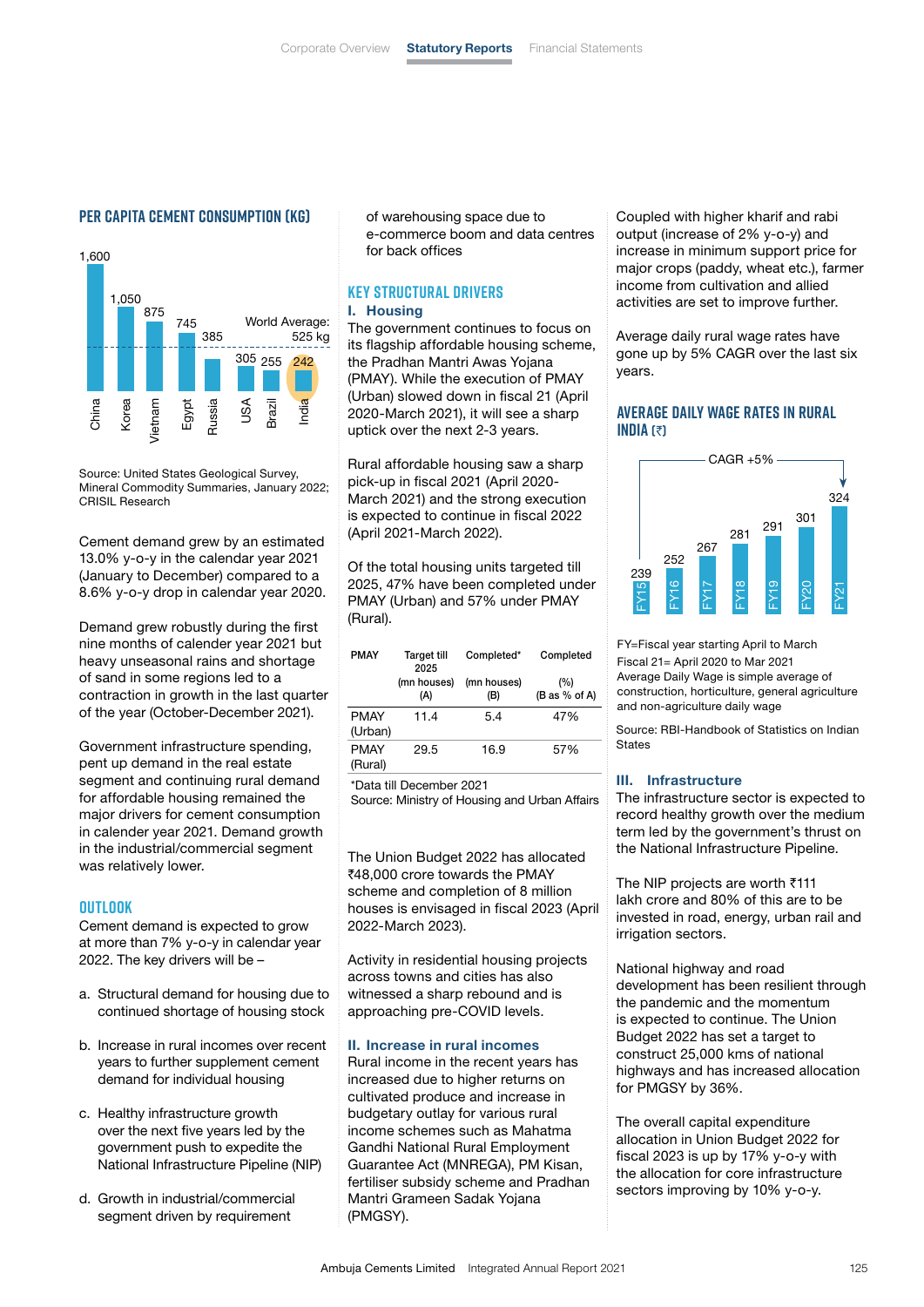#### **per capita cement consumption (KG)**



Source: United States Geological Survey, Mineral Commodity Summaries, January 2022; CRISIL Research

Cement demand grew by an estimated 13.0% y-o-y in the calendar year 2021 (January to December) compared to a 8.6% y-o-y drop in calendar year 2020.

Demand grew robustly during the first nine months of calender year 2021 but heavy unseasonal rains and shortage of sand in some regions led to a contraction in growth in the last quarter of the year (October-December 2021).

Government infrastructure spending, pent up demand in the real estate segment and continuing rural demand for affordable housing remained the major drivers for cement consumption in calender year 2021. Demand growth in the industrial/commercial segment was relatively lower.

#### **OUTLOOK**

Cement demand is expected to grow at more than 7% y-o-y in calendar year 2022. The key drivers will be –

- a. Structural demand for housing due to continued shortage of housing stock
- b. Increase in rural incomes over recent years to further supplement cement demand for individual housing
- c. Healthy infrastructure growth over the next five years led by the government push to expedite the National Infrastructure Pipeline (NIP)
- d. Growth in industrial/commercial segment driven by requirement

of warehousing space due to e-commerce boom and data centres for back offices

#### **KEY STRUCTURAL DRIVERS** I. Housing

The government continues to focus on its flagship affordable housing scheme, the Pradhan Mantri Awas Yojana (PMAY). While the execution of PMAY (Urban) slowed down in fiscal 21 (April 2020-March 2021), it will see a sharp uptick over the next 2-3 years.

Rural affordable housing saw a sharp pick-up in fiscal 2021 (April 2020- March 2021) and the strong execution is expected to continue in fiscal 2022 (April 2021-March 2022).

Of the total housing units targeted till 2025, 47% have been completed under PMAY (Urban) and 57% under PMAY (Rural).

| <b>PMAY</b>            | <b>Target till</b><br>2025 | Completed*         | Completed            |
|------------------------|----------------------------|--------------------|----------------------|
|                        | (mn houses)<br>(A)         | (mn houses)<br>(B) | (%)<br>(B as % of A) |
| <b>PMAY</b><br>(Urban) | 11.4                       | 5.4                | 47%                  |
| <b>PMAY</b><br>(Rural) | 29.5                       | 16.9               | 57%                  |

\*Data till December 2021

Source: Ministry of Housing and Urban Affairs

The Union Budget 2022 has allocated ₹48,000 crore towards the PMAY scheme and completion of 8 million houses is envisaged in fiscal 2023 (April 2022-March 2023).

Activity in residential housing projects across towns and cities has also witnessed a sharp rebound and is approaching pre-COVID levels.

#### II. Increase in rural incomes

Rural income in the recent years has increased due to higher returns on cultivated produce and increase in budgetary outlay for various rural income schemes such as Mahatma Gandhi National Rural Employment Guarantee Act (MNREGA), PM Kisan, fertiliser subsidy scheme and Pradhan Mantri Grameen Sadak Yojana (PMGSY).

Coupled with higher kharif and rabi output (increase of 2% y-o-y) and increase in minimum support price for major crops (paddy, wheat etc.), farmer income from cultivation and allied activities are set to improve further.

Average daily rural wage rates have gone up by 5% CAGR over the last six years.

#### **average daily wage rates in rural india** (₹)



FY=Fiscal year starting April to March Fiscal 21= April 2020 to Mar 2021 Average Daily Wage is simple average of construction, horticulture, general agriculture and non-agriculture daily wage

Source: RBI-Handbook of Statistics on Indian States

#### III. Infrastructure

The infrastructure sector is expected to record healthy growth over the medium term led by the government's thrust on the National Infrastructure Pipeline.

The NIP projects are worth  $7111$ lakh crore and 80% of this are to be invested in road, energy, urban rail and irrigation sectors.

National highway and road development has been resilient through the pandemic and the momentum is expected to continue. The Union Budget 2022 has set a target to construct 25,000 kms of national highways and has increased allocation for PMGSY by 36%.

The overall capital expenditure allocation in Union Budget 2022 for fiscal 2023 is up by 17% y-o-y with the allocation for core infrastructure sectors improving by 10% y-o-y.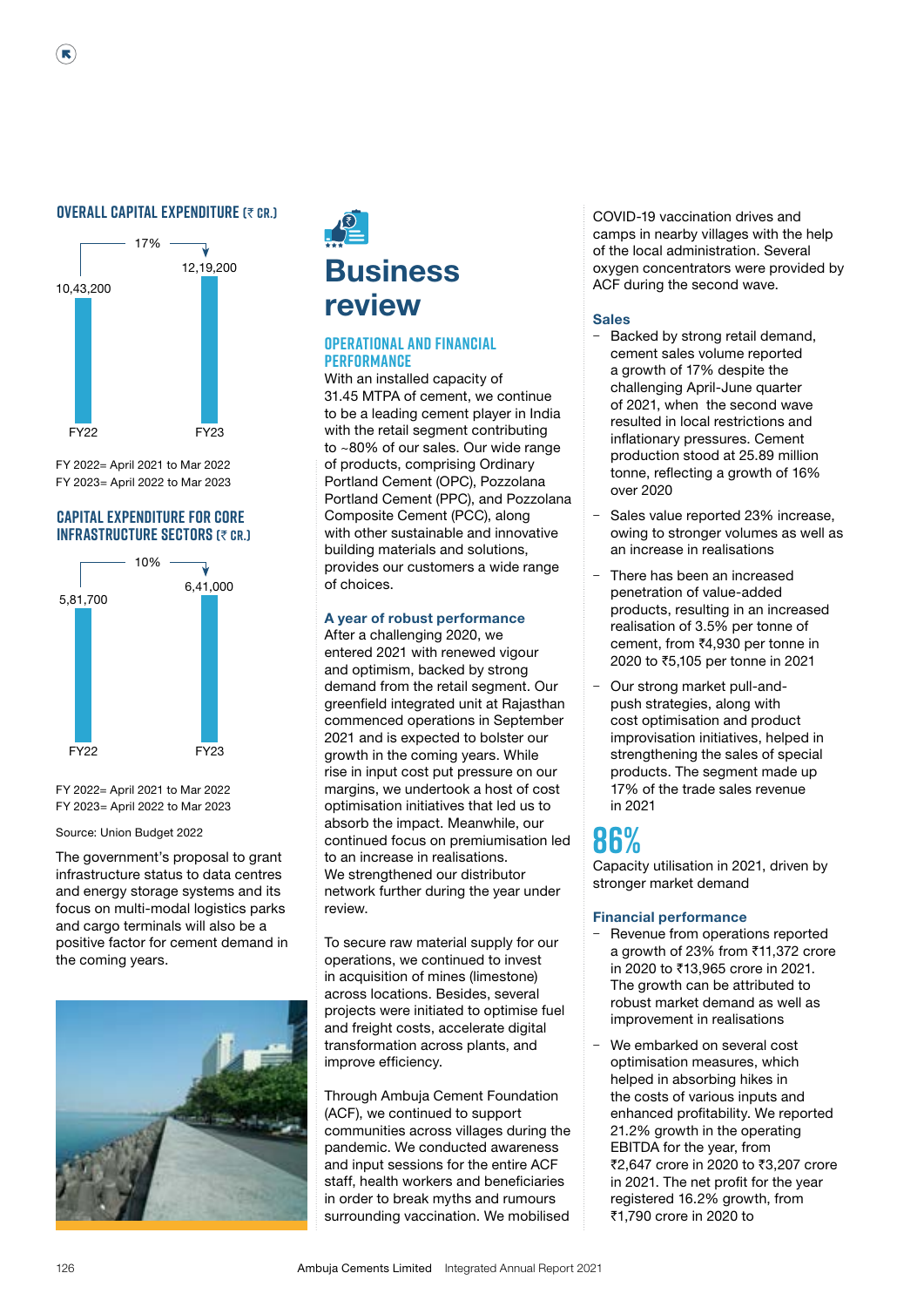#### **OVERALL CAPITAL EXPENDITURE (₹ CR.)**

ĸ



FY 2022= April 2021 to Mar 2022 FY 2023= April 2022 to Mar 2023

#### **Capital expenditure for core INFRASTRUCTURE SECTORS (₹ CR.)**



FY 2022= April 2021 to Mar 2022 FY 2023= April 2022 to Mar 2023

#### Source: Union Budget 2022

The government's proposal to grant infrastructure status to data centres and energy storage systems and its focus on multi-modal logistics parks and cargo terminals will also be a positive factor for cement demand in the coming years.





#### **OPERATIONAL AND FINANCIAL PERFORMANCE**

With an installed capacity of 31.45 MTPA of cement, we continue to be a leading cement player in India with the retail segment contributing to ~80% of our sales. Our wide range of products, comprising Ordinary Portland Cement (OPC), Pozzolana Portland Cement (PPC), and Pozzolana Composite Cement (PCC), along with other sustainable and innovative building materials and solutions, provides our customers a wide range of choices.

#### A year of robust performance

After a challenging 2020, we entered 2021 with renewed vigour and optimism, backed by strong demand from the retail segment. Our greenfield integrated unit at Rajasthan commenced operations in September 2021 and is expected to bolster our growth in the coming years. While rise in input cost put pressure on our margins, we undertook a host of cost optimisation initiatives that led us to absorb the impact. Meanwhile, our continued focus on premiumisation led to an increase in realisations. We strengthened our distributor network further during the year under review.

To secure raw material supply for our operations, we continued to invest in acquisition of mines (limestone) across locations. Besides, several projects were initiated to optimise fuel and freight costs, accelerate digital transformation across plants, and improve efficiency.

Through Ambuja Cement Foundation (ACF), we continued to support communities across villages during the pandemic. We conducted awareness and input sessions for the entire ACF staff, health workers and beneficiaries in order to break myths and rumours surrounding vaccination. We mobilised

COVID-19 vaccination drives and camps in nearby villages with the help of the local administration. Several oxygen concentrators were provided by ACF during the second wave.

#### Sales

- − Backed by strong retail demand, cement sales volume reported a growth of 17% despite the challenging April-June quarter of 2021, when the second wave resulted in local restrictions and inflationary pressures. Cement production stood at 25.89 million tonne, reflecting a growth of 16% over 2020
- Sales value reported 23% increase. owing to stronger volumes as well as an increase in realisations
- There has been an increased penetration of value-added products, resulting in an increased realisation of 3.5% per tonne of cement, from ₹4,930 per tonne in 2020 to ₹5,105 per tonne in 2021
- − Our strong market pull-andpush strategies, along with cost optimisation and product improvisation initiatives, helped in strengthening the sales of special products. The segment made up 17% of the trade sales revenue in 2021

### **86%**

Capacity utilisation in 2021, driven by stronger market demand

#### Financial performance

- − Revenue from operations reported a growth of 23% from ₹11,372 crore in 2020 to ₹13,965 crore in 2021. The growth can be attributed to robust market demand as well as improvement in realisations
- We embarked on several cost optimisation measures, which helped in absorbing hikes in the costs of various inputs and enhanced profitability. We reported 21.2% growth in the operating EBITDA for the year, from ₹2,647 crore in 2020 to ₹3,207 crore in 2021. The net profit for the year registered 16.2% growth, from ₹1,790 crore in 2020 to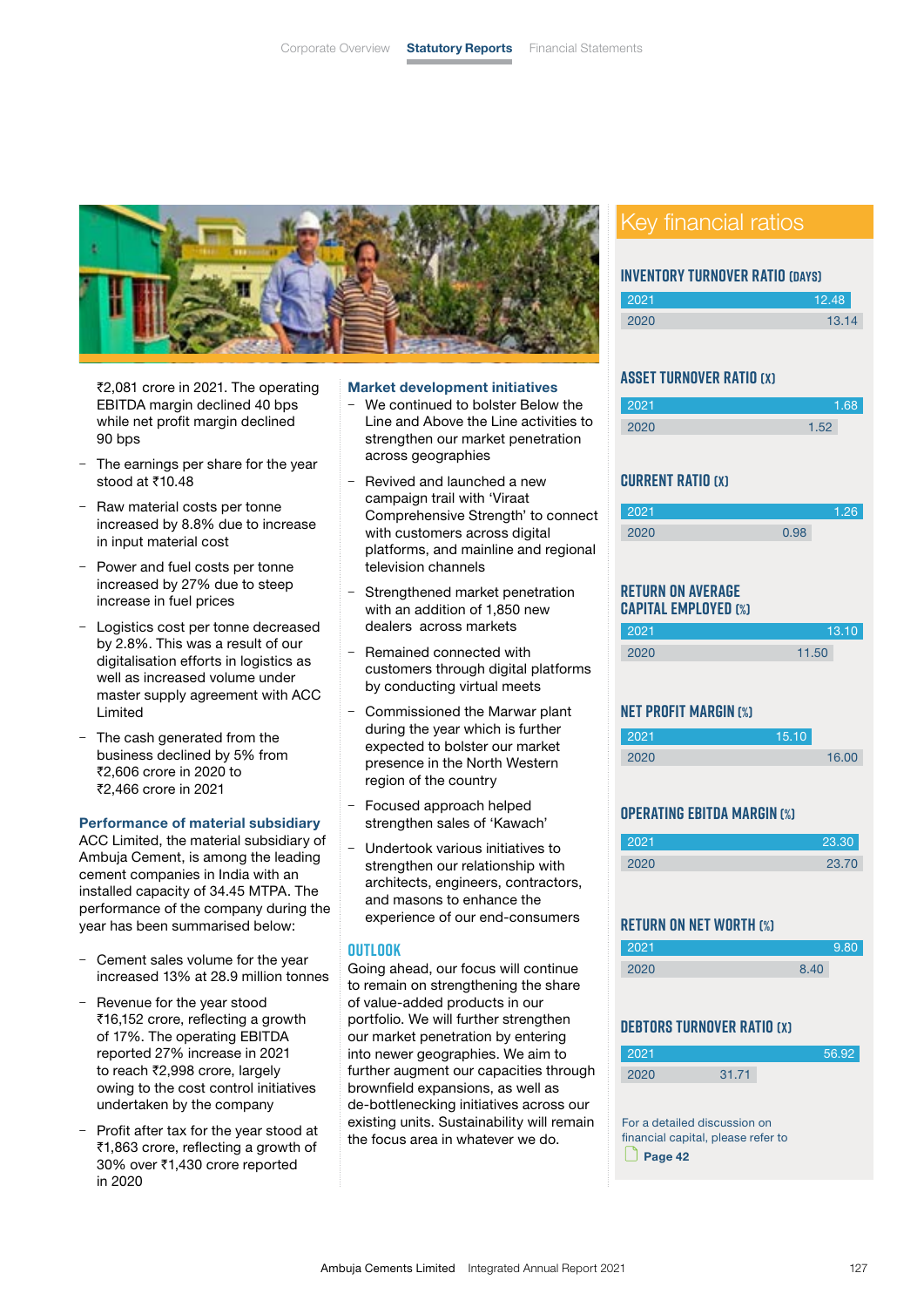

₹2,081 crore in 2021. The operating EBITDA margin declined 40 bps while net profit margin declined 90 bps

- The earnings per share for the year stood at  $\bar{x}10.48$
- Raw material costs per tonne increased by 8.8% due to increase in input material cost
- Power and fuel costs per tonne increased by 27% due to steep increase in fuel prices
- Logistics cost per tonne decreased by 2.8%. This was a result of our digitalisation efforts in logistics as well as increased volume under master supply agreement with ACC Limited
- − The cash generated from the business declined by 5% from ₹2,606 crore in 2020 to `2,466 crore in 2021

#### Performance of material subsidiary

ACC Limited, the material subsidiary of Ambuja Cement, is among the leading cement companies in India with an installed capacity of 34.45 MTPA. The performance of the company during the year has been summarised below:

- Cement sales volume for the year increased 13% at 28.9 million tonnes
- Revenue for the year stood ₹16,152 crore, reflecting a growth of 17%. The operating EBITDA reported 27% increase in 2021 to reach ₹2,998 crore, largely owing to the cost control initiatives undertaken by the company
- Profit after tax for the year stood at ₹1,863 crore, reflecting a growth of 30% over ₹1,430 crore reported in 2020

#### Market development initiatives

- − We continued to bolster Below the Line and Above the Line activities to strengthen our market penetration across geographies
- Revived and launched a new campaign trail with 'Viraat Comprehensive Strength' to connect with customers across digital platforms, and mainline and regional television channels
- Strengthened market penetration with an addition of 1,850 new dealers across markets
- − Remained connected with customers through digital platforms by conducting virtual meets
- − Commissioned the Marwar plant during the year which is further expected to bolster our market presence in the North Western region of the country
- − Focused approach helped strengthen sales of 'Kawach'
- Undertook various initiatives to strengthen our relationship with architects, engineers, contractors, and masons to enhance the experience of our end-consumers

#### **OUTLOOK**

Going ahead, our focus will continue to remain on strengthening the share of value-added products in our portfolio. We will further strengthen our market penetration by entering into newer geographies. We aim to further augment our capacities through brownfield expansions, as well as de-bottlenecking initiatives across our existing units. Sustainability will remain the focus area in whatever we do.

#### Key financial ratios

#### **Inventory turnover Ratio (days)**

| 2021 | 12.48 |
|------|-------|
| 2020 | 13.14 |

#### **Asset turnover ratio (x)**

| 2021 | 1 68 |
|------|------|
| 2020 | 152  |

#### **Current ratio (X)**

| 2021 |      | 1.26 |
|------|------|------|
| 2020 | 0.98 |      |

#### **Return on average capital employed (%)**

| l 2021 | 13.10 |
|--------|-------|
| 2020   | 11.50 |

#### **net profit margin (%)**

| 2021 | 15.10 |
|------|-------|
| 2020 | 16.00 |

#### **Operating EBITDA margin (%)**

| 2021 | 23.30 |
|------|-------|
| 2020 | 23.70 |

#### **Return on net worth (%)**

| 2021 |      | 9.80 |
|------|------|------|
| 2020 | 8.40 |      |

#### **Debtors turnover ratio (x)**

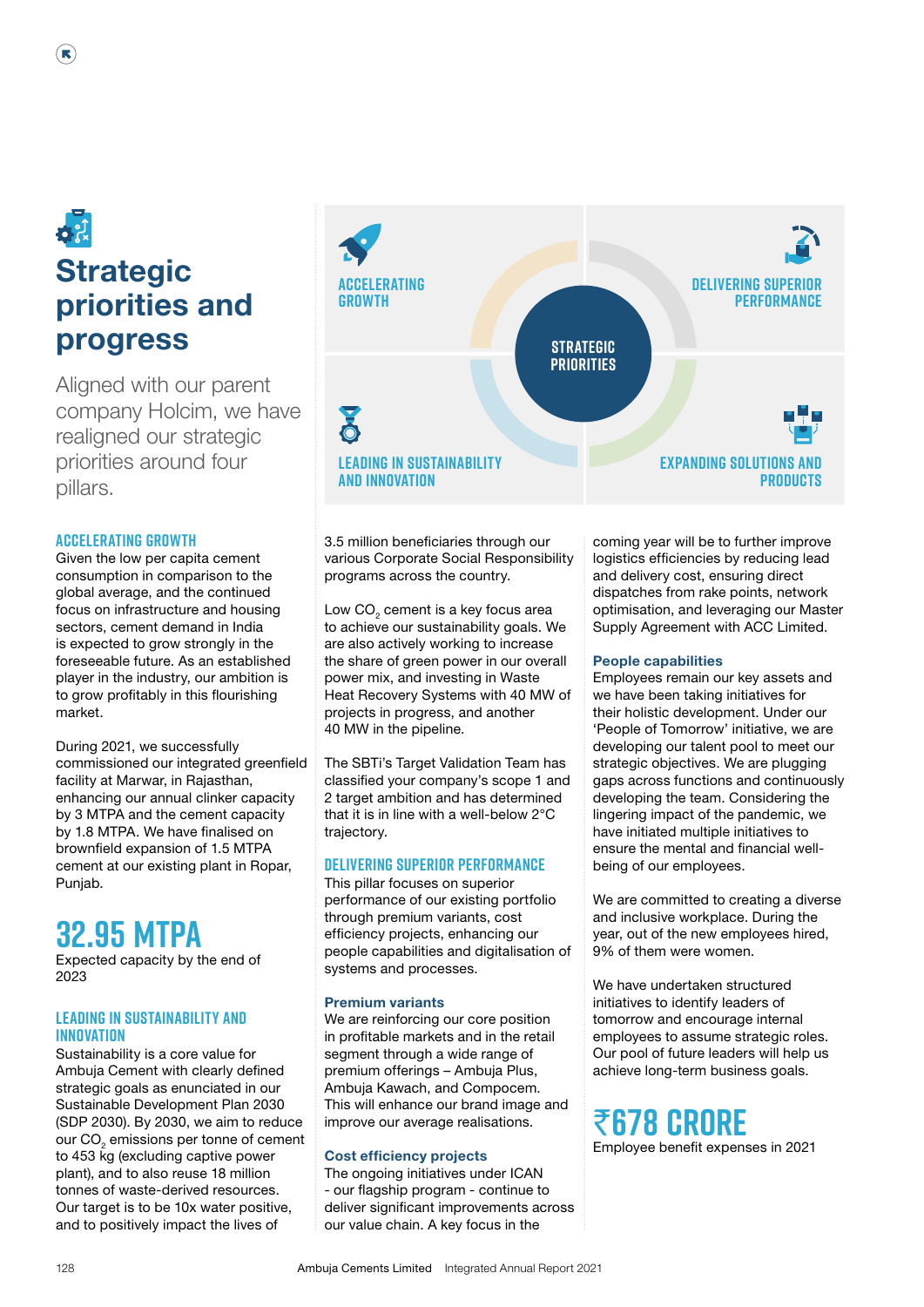# **Strategic** priorities and progress

 $(\mathbf{R})$ 

Aligned with our parent company Holcim, we have realigned our strategic priorities around four pillars.

#### **ACCELERATING GROWTH**

Given the low per capita cement consumption in comparison to the global average, and the continued focus on infrastructure and housing sectors, cement demand in India is expected to grow strongly in the foreseeable future. As an established player in the industry, our ambition is to grow profitably in this flourishing market.

During 2021, we successfully commissioned our integrated greenfield facility at Marwar, in Rajasthan, enhancing our annual clinker capacity by 3 MTPA and the cement capacity by 1.8 MTPA. We have finalised on brownfield expansion of 1.5 MTPA cement at our existing plant in Ropar, Punjab.

### **32.95 MTPA**

Expected capacity by the end of 2023

#### **LEADING IN SUSTAINABILITY AND INNOVATION**

Sustainability is a core value for Ambuja Cement with clearly defined strategic goals as enunciated in our Sustainable Development Plan 2030 (SDP 2030). By 2030, we aim to reduce our CO<sub>2</sub> emissions per tonne of cement to 453 kg (excluding captive power plant), and to also reuse 18 million tonnes of waste-derived resources. Our target is to be 10x water positive, and to positively impact the lives of



3.5 million beneficiaries through our various Corporate Social Responsibility programs across the country.

Low CO $_2$  cement is a key focus area to achieve our sustainability goals. We are also actively working to increase the share of green power in our overall power mix, and investing in Waste Heat Recovery Systems with 40 MW of projects in progress, and another 40 MW in the pipeline.

The SBTi's Target Validation Team has classified your company's scope 1 and 2 target ambition and has determined that it is in line with a well-below 2°C trajectory.

#### **DELIVERING SUPERIOR PERFORMANCE**

This pillar focuses on superior performance of our existing portfolio through premium variants, cost efficiency projects, enhancing our people capabilities and digitalisation of systems and processes.

#### Premium variants

We are reinforcing our core position in profitable markets and in the retail segment through a wide range of premium offerings – Ambuja Plus, Ambuja Kawach, and Compocem. This will enhance our brand image and improve our average realisations.

#### Cost efficiency projects

The ongoing initiatives under ICAN - our flagship program - continue to deliver significant improvements across our value chain. A key focus in the

coming year will be to further improve logistics efficiencies by reducing lead and delivery cost, ensuring direct dispatches from rake points, network optimisation, and leveraging our Master Supply Agreement with ACC Limited.

#### People capabilities

Employees remain our key assets and we have been taking initiatives for their holistic development. Under our 'People of Tomorrow' initiative, we are developing our talent pool to meet our strategic objectives. We are plugging gaps across functions and continuously developing the team. Considering the lingering impact of the pandemic, we have initiated multiple initiatives to ensure the mental and financial wellbeing of our employees.

We are committed to creating a diverse and inclusive workplace. During the year, out of the new employees hired, 9% of them were women.

We have undertaken structured initiatives to identify leaders of tomorrow and encourage internal employees to assume strategic roles. Our pool of future leaders will help us achieve long-term business goals.

`**678 CRORE**  Employee benefit expenses in 2021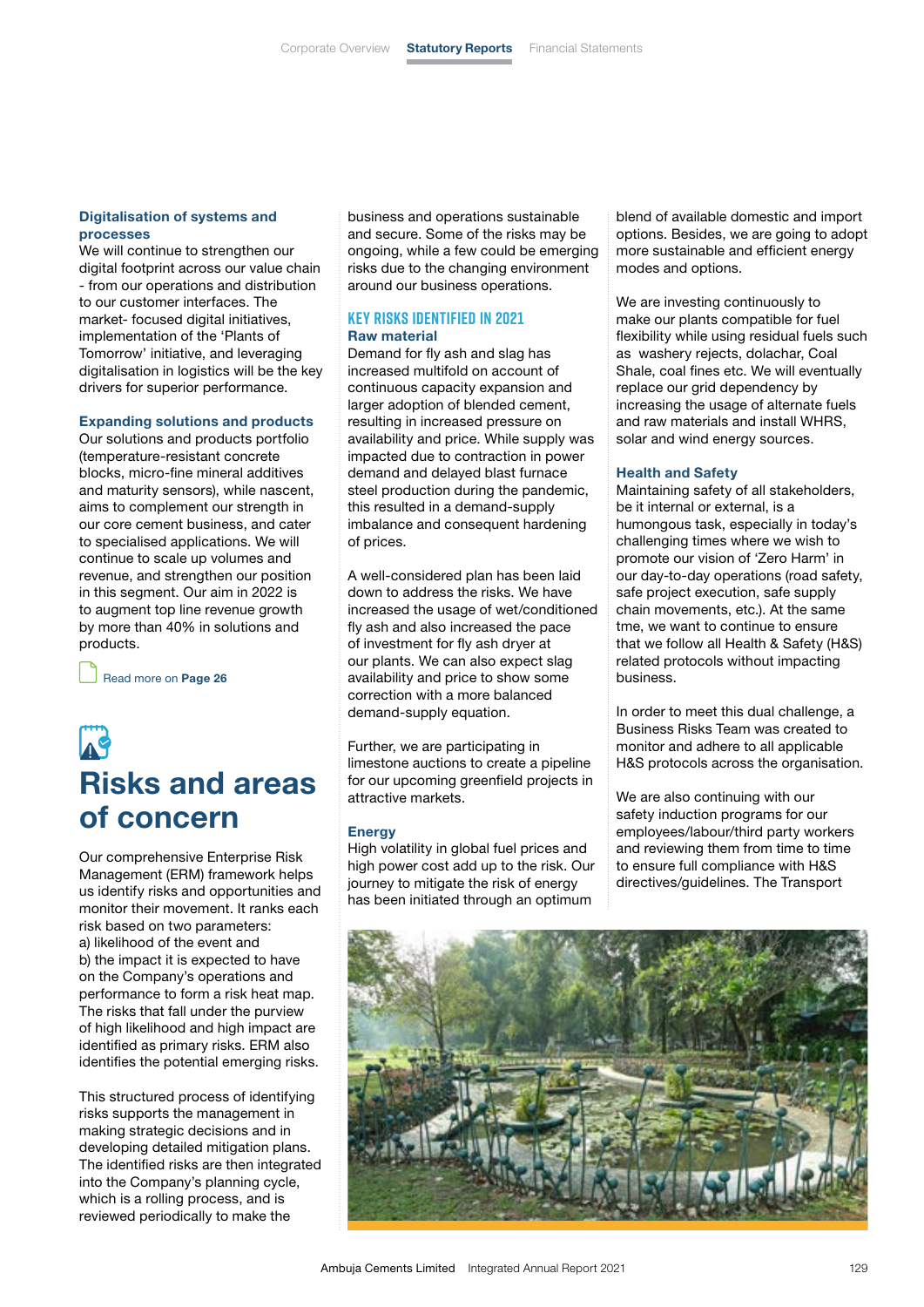#### Digitalisation of systems and processes

We will continue to strengthen our digital footprint across our value chain - from our operations and distribution to our customer interfaces. The market- focused digital initiatives implementation of the 'Plants of Tomorrow' initiative, and leveraging digitalisation in logistics will be the key drivers for superior performance.

#### Expanding solutions and products

Our solutions and products portfolio (temperature-resistant concrete blocks, micro-fine mineral additives and maturity sensors), while nascent, aims to complement our strength in our core cement business, and cater to specialised applications. We will continue to scale up volumes and revenue, and strengthen our position in this segment. Our aim in 2022 is to augment top line revenue growth by more than 40% in solutions and products.

[Read more on](#page--1-0) Page 26

# Risks and areas of concern

Our comprehensive Enterprise Risk Management (ERM) framework helps us identify risks and opportunities and monitor their movement. It ranks each risk based on two parameters: a) likelihood of the event and b) the impact it is expected to have on the Company's operations and performance to form a risk heat map. The risks that fall under the purview of high likelihood and high impact are identified as primary risks. ERM also identifies the potential emerging risks.

This structured process of identifying risks supports the management in making strategic decisions and in developing detailed mitigation plans. The identified risks are then integrated into the Company's planning cycle, which is a rolling process, and is reviewed periodically to make the

business and operations sustainable and secure. Some of the risks may be ongoing, while a few could be emerging risks due to the changing environment around our business operations.

#### **KEY RISKS IDENTIFIED IN 2021** Raw material

Demand for fly ash and slag has increased multifold on account of continuous capacity expansion and larger adoption of blended cement, resulting in increased pressure on availability and price. While supply was impacted due to contraction in power demand and delayed blast furnace steel production during the pandemic, this resulted in a demand-supply imbalance and consequent hardening of prices.

A well-considered plan has been laid down to address the risks. We have increased the usage of wet/conditioned fly ash and also increased the pace of investment for fly ash dryer at our plants. We can also expect slag availability and price to show some correction with a more balanced demand-supply equation.

Further, we are participating in limestone auctions to create a pipeline for our upcoming greenfield projects in attractive markets.

#### **Energy**

High volatility in global fuel prices and high power cost add up to the risk. Our journey to mitigate the risk of energy has been initiated through an optimum

blend of available domestic and import options. Besides, we are going to adopt more sustainable and efficient energy modes and options.

We are investing continuously to make our plants compatible for fuel flexibility while using residual fuels such as washery rejects, dolachar, Coal Shale, coal fines etc. We will eventually replace our grid dependency by increasing the usage of alternate fuels and raw materials and install WHRS, solar and wind energy sources.

#### Health and Safety

Maintaining safety of all stakeholders, be it internal or external, is a humongous task, especially in today's challenging times where we wish to promote our vision of 'Zero Harm' in our day-to-day operations (road safety, safe project execution, safe supply chain movements, etc.). At the same tme, we want to continue to ensure that we follow all Health & Safety (H&S) related protocols without impacting business.

In order to meet this dual challenge, a Business Risks Team was created to monitor and adhere to all applicable H&S protocols across the organisation.

We are also continuing with our safety induction programs for our employees/labour/third party workers and reviewing them from time to time to ensure full compliance with H&S directives/guidelines. The Transport

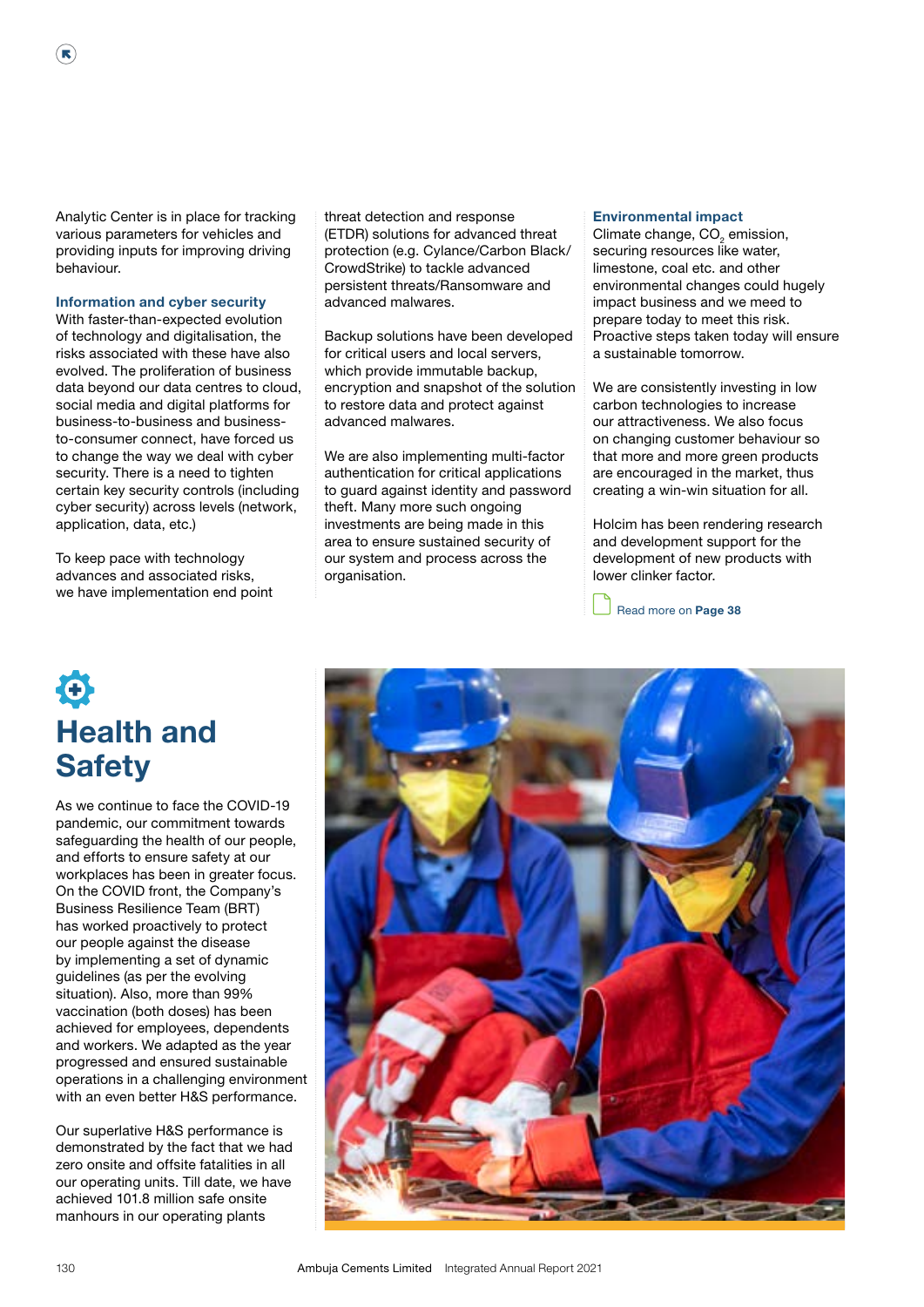

#### Information and cyber security

 $(\mathbf{R})$ 

With faster-than-expected evolution of technology and digitalisation, the risks associated with these have also evolved. The proliferation of business data beyond our data centres to cloud, social media and digital platforms for business-to-business and businessto-consumer connect, have forced us to change the way we deal with cyber security. There is a need to tighten certain key security controls (including cyber security) across levels (network, application, data, etc.)

To keep pace with technology advances and associated risks, we have implementation end point threat detection and response (ETDR) solutions for advanced threat protection (e.g. Cylance/Carbon Black/ CrowdStrike) to tackle advanced persistent threats/Ransomware and advanced malwares.

Backup solutions have been developed for critical users and local servers, which provide immutable backup, encryption and snapshot of the solution to restore data and protect against advanced malwares.

We are also implementing multi-factor authentication for critical applications to guard against identity and password theft. Many more such ongoing investments are being made in this area to ensure sustained security of our system and process across the organisation.

#### Environmental impact

Climate change,  $CO<sub>2</sub>$  emission, securing resources like water, limestone, coal etc. and other environmental changes could hugely impact business and we meed to prepare today to meet this risk. Proactive steps taken today will ensure a sustainable tomorrow.

We are consistently investing in low carbon technologies to increase our attractiveness. We also focus on changing customer behaviour so that more and more green products are encouraged in the market, thus creating a win-win situation for all.

Holcim has been rendering research and development support for the development of new products with lower clinker factor.

[Read more on](#page--1-0) Page 38

# Health and **Safety**

As we continue to face the COVID-19 pandemic, our commitment towards safeguarding the health of our people, and efforts to ensure safety at our workplaces has been in greater focus. On the COVID front, the Company's Business Resilience Team (BRT) has worked proactively to protect our people against the disease by implementing a set of dynamic guidelines (as per the evolving situation). Also, more than 99% vaccination (both doses) has been achieved for employees, dependents and workers. We adapted as the year progressed and ensured sustainable operations in a challenging environment with an even better H&S performance.

Our superlative H&S performance is demonstrated by the fact that we had zero onsite and offsite fatalities in all our operating units. Till date, we have achieved 101.8 million safe onsite manhours in our operating plants

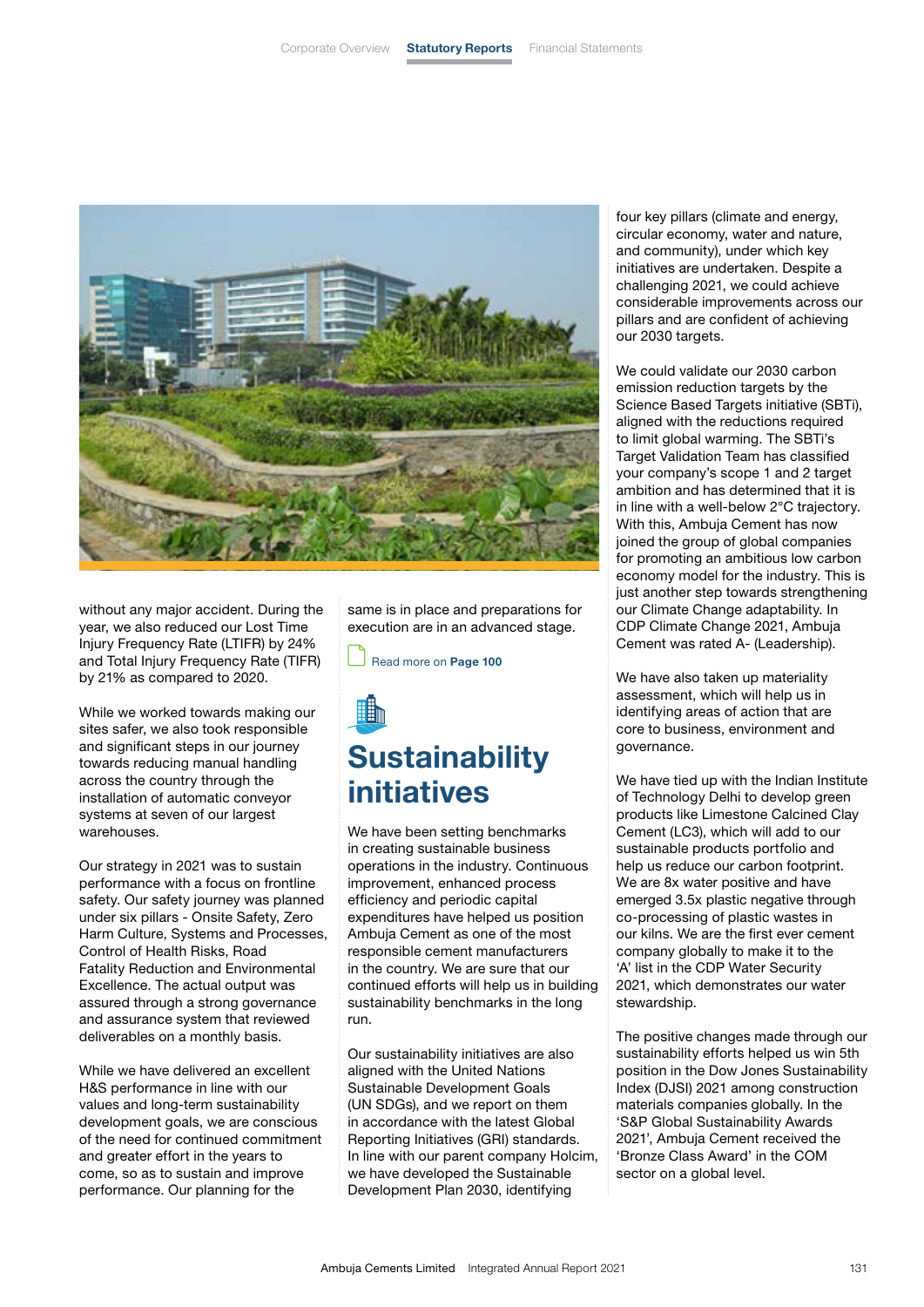

without any major accident. During the year, we also reduced our Lost Time Injury Frequency Rate (LTIFR) by 24% and Total Injury Frequency Rate (TIFR) by 21% as compared to 2020.

While we worked towards making our sites safer, we also took responsible and significant steps in our journey towards reducing manual handling across the country through the installation of automatic conveyor systems at seven of our largest warehouses.

Our strategy in 2021 was to sustain performance with a focus on frontline safety. Our safety journey was planned under six pillars - Onsite Safety, Zero Harm Culture, Systems and Processes, Control of Health Risks, Road Fatality Reduction and Environmental Excellence. The actual output was assured through a strong governance and assurance system that reviewed deliverables on a monthly basis.

While we have delivered an excellent H&S performance in line with our values and long-term sustainability development goals, we are conscious of the need for continued commitment and greater effort in the years to come, so as to sustain and improve performance. Our planning for the

same is in place and preparations for execution are in an advanced stage.

[Read more on](#page--1-0) Page 100



We have been setting benchmarks in creating sustainable business operations in the industry. Continuous improvement, enhanced process efficiency and periodic capital expenditures have helped us position Ambuja Cement as one of the most responsible cement manufacturers in the country. We are sure that our continued efforts will help us in building sustainability benchmarks in the long run.

Our sustainability initiatives are also aligned with the United Nations Sustainable Development Goals (UN SDGs), and we report on them in accordance with the latest Global Reporting Initiatives (GRI) standards. In line with our parent company Holcim, we have developed the Sustainable Development Plan 2030, identifying

four key pillars (climate and energy, circular economy, water and nature, and community), under which key initiatives are undertaken. Despite a challenging 2021, we could achieve considerable improvements across our pillars and are confident of achieving our 2030 targets.

We could validate our 2030 carbon emission reduction targets by the Science Based Targets initiative (SBTi), aligned with the reductions required to limit global warming. The SBTi's Target Validation Team has classified your company's scope 1 and 2 target ambition and has determined that it is in line with a well-below 2°C trajectory. With this, Ambuja Cement has now joined the group of global companies for promoting an ambitious low carbon economy model for the industry. This is just another step towards strengthening our Climate Change adaptability. In CDP Climate Change 2021, Ambuja Cement was rated A- (Leadership).

We have also taken up materiality assessment, which will help us in identifying areas of action that are core to business, environment and governance.

We have tied up with the Indian Institute of Technology Delhi to develop green products like Limestone Calcined Clay Cement (LC3), which will add to our sustainable products portfolio and help us reduce our carbon footprint. We are 8x water positive and have emerged 3.5x plastic negative through co-processing of plastic wastes in our kilns. We are the first ever cement company globally to make it to the 'A' list in the CDP Water Security 2021, which demonstrates our water stewardship.

The positive changes made through our sustainability efforts helped us win 5th position in the Dow Jones Sustainability Index (DJSI) 2021 among construction materials companies globally. In the 'S&P Global Sustainability Awards 2021', Ambuja Cement received the 'Bronze Class Award' in the COM sector on a global level.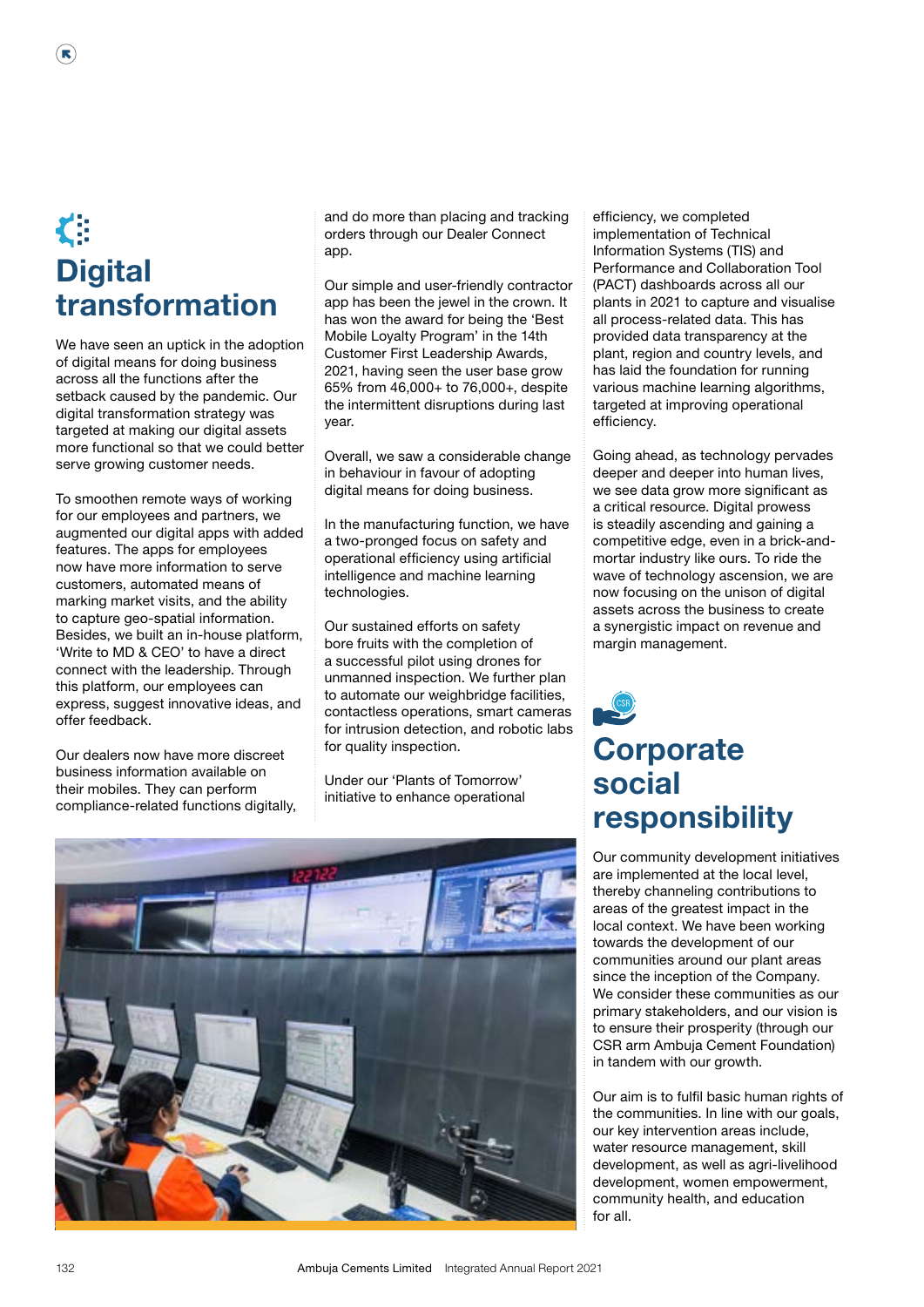### 住 **Digital** transformation

We have seen an uptick in the adoption of digital means for doing business across all the functions after the setback caused by the pandemic. Our digital transformation strategy was targeted at making our digital assets more functional so that we could better serve growing customer needs.

To smoothen remote ways of working for our employees and partners, we augmented our digital apps with added features. The apps for employees now have more information to serve customers, automated means of marking market visits, and the ability to capture geo-spatial information. Besides, we built an in-house platform, 'Write to MD & CEO' to have a direct connect with the leadership. Through this platform, our employees can express, suggest innovative ideas, and offer feedback.

Our dealers now have more discreet business information available on their mobiles. They can perform compliance-related functions digitally, and do more than placing and tracking orders through our Dealer Connect app.

Our simple and user-friendly contractor app has been the jewel in the crown. It has won the award for being the 'Best Mobile Loyalty Program' in the 14th Customer First Leadership Awards, 2021, having seen the user base grow 65% from 46,000+ to 76,000+, despite the intermittent disruptions during last year.

Overall, we saw a considerable change in behaviour in favour of adopting digital means for doing business.

In the manufacturing function, we have a two-pronged focus on safety and operational efficiency using artificial intelligence and machine learning technologies.

Our sustained efforts on safety bore fruits with the completion of a successful pilot using drones for unmanned inspection. We further plan to automate our weighbridge facilities, contactless operations, smart cameras for intrusion detection, and robotic labs for quality inspection.

Under our 'Plants of Tomorrow' initiative to enhance operational



efficiency, we completed implementation of Technical Information Systems (TIS) and Performance and Collaboration Tool (PACT) dashboards across all our plants in 2021 to capture and visualise all process-related data. This has provided data transparency at the plant, region and country levels, and has laid the foundation for running various machine learning algorithms, targeted at improving operational efficiency.

Going ahead, as technology pervades deeper and deeper into human lives, we see data grow more significant as a critical resource. Digital prowess is steadily ascending and gaining a competitive edge, even in a brick-andmortar industry like ours. To ride the wave of technology ascension, we are now focusing on the unison of digital assets across the business to create a synergistic impact on revenue and margin management.

# **Corporate** social responsibility

Our community development initiatives are implemented at the local level, thereby channeling contributions to areas of the greatest impact in the local context. We have been working towards the development of our communities around our plant areas since the inception of the Company. We consider these communities as our primary stakeholders, and our vision is to ensure their prosperity (through our CSR arm Ambuja Cement Foundation) in tandem with our growth.

Our aim is to fulfil basic human rights of the communities. In line with our goals, our key intervention areas include, water resource management, skill development, as well as agri-livelihood development, women empowerment, community health, and education for all.